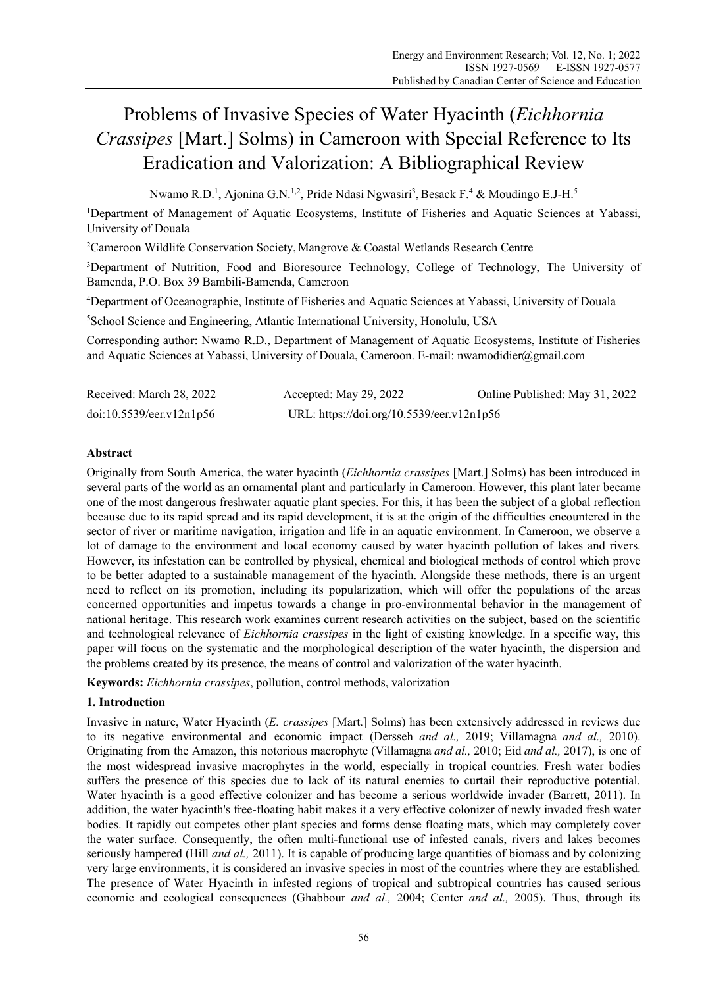# Problems of Invasive Species of Water Hyacinth (*Eichhornia Crassipes* [Mart.] Solms) in Cameroon with Special Reference to Its Eradication and Valorization: A Bibliographical Review

Nwamo R.D.<sup>1</sup>, Ajonina G.N.<sup>1,2</sup>, Pride Ndasi Ngwasiri<sup>3</sup>, Besack F.<sup>4</sup> & Moudingo E.J-H.<sup>5</sup>

<sup>1</sup>Department of Management of Aquatic Ecosystems, Institute of Fisheries and Aquatic Sciences at Yabassi, University of Douala

<sup>2</sup>Cameroon Wildlife Conservation Society, Mangrove & Coastal Wetlands Research Centre

<sup>3</sup>Department of Nutrition, Food and Bioresource Technology, College of Technology, The University of Bamenda, P.O. Box 39 Bambili-Bamenda, Cameroon

4 Department of Oceanographie, Institute of Fisheries and Aquatic Sciences at Yabassi, University of Douala

5 School Science and Engineering, Atlantic International University, Honolulu, USA

Corresponding author: Nwamo R.D., Department of Management of Aquatic Ecosystems, Institute of Fisheries and Aquatic Sciences at Yabassi, University of Douala, Cameroon. E-mail: nwamodidier@gmail.com

| Received: March 28, 2022 | Accepted: May 29, 2022                    | Online Published: May 31, 2022 |
|--------------------------|-------------------------------------------|--------------------------------|
| doi:10.5539/eer.v12n1p56 | URL: https://doi.org/10.5539/eer.v12n1p56 |                                |

# **Abstract**

Originally from South America, the water hyacinth (*Eichhornia crassipes* [Mart.] Solms) has been introduced in several parts of the world as an ornamental plant and particularly in Cameroon. However, this plant later became one of the most dangerous freshwater aquatic plant species. For this, it has been the subject of a global reflection because due to its rapid spread and its rapid development, it is at the origin of the difficulties encountered in the sector of river or maritime navigation, irrigation and life in an aquatic environment. In Cameroon, we observe a lot of damage to the environment and local economy caused by water hyacinth pollution of lakes and rivers. However, its infestation can be controlled by physical, chemical and biological methods of control which prove to be better adapted to a sustainable management of the hyacinth. Alongside these methods, there is an urgent need to reflect on its promotion, including its popularization, which will offer the populations of the areas concerned opportunities and impetus towards a change in pro-environmental behavior in the management of national heritage. This research work examines current research activities on the subject, based on the scientific and technological relevance of *Eichhornia crassipes* in the light of existing knowledge. In a specific way, this paper will focus on the systematic and the morphological description of the water hyacinth, the dispersion and the problems created by its presence, the means of control and valorization of the water hyacinth.

**Keywords:** *Eichhornia crassipes*, pollution, control methods, valorization

# **1. Introduction**

Invasive in nature, Water Hyacinth (*E. crassipes* [Mart.] Solms) has been extensively addressed in reviews due to its negative environmental and economic impact (Dersseh *and al.,* 2019; Villamagna *and al.,* 2010). Originating from the Amazon, this notorious macrophyte (Villamagna *and al.,* 2010; Eid *and al.,* 2017), is one of the most widespread invasive macrophytes in the world, especially in tropical countries. Fresh water bodies suffers the presence of this species due to lack of its natural enemies to curtail their reproductive potential. Water hyacinth is a good effective colonizer and has become a serious worldwide invader (Barrett, 2011). In addition, the water hyacinth's free-floating habit makes it a very effective colonizer of newly invaded fresh water bodies. It rapidly out competes other plant species and forms dense floating mats, which may completely cover the water surface. Consequently, the often multi-functional use of infested canals, rivers and lakes becomes seriously hampered (Hill *and al.,* 2011). It is capable of producing large quantities of biomass and by colonizing very large environments, it is considered an invasive species in most of the countries where they are established. The presence of Water Hyacinth in infested regions of tropical and subtropical countries has caused serious economic and ecological consequences (Ghabbour *and al.,* 2004; Center *and al.,* 2005). Thus, through its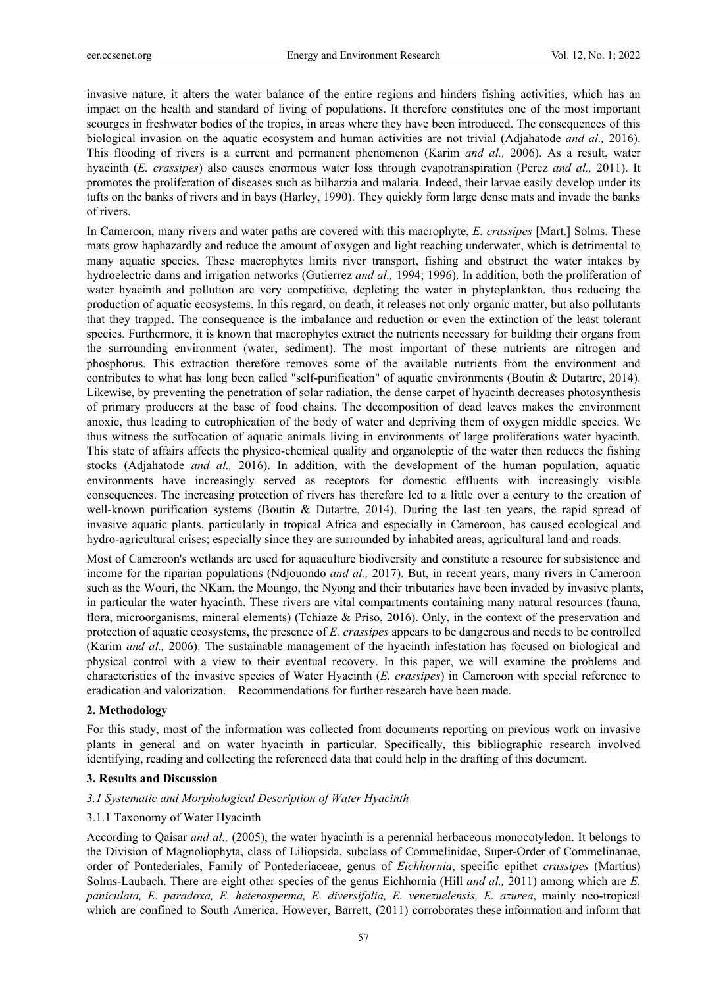invasive nature, it alters the water balance of the entire regions and hinders fishing activities, which has an impact on the health and standard of living of populations. It therefore constitutes one of the most important scourges in freshwater bodies of the tropics, in areas where they have been introduced. The consequences of this biological invasion on the aquatic ecosystem and human activities are not trivial (Adjahatode *and al.,* 2016). This flooding of rivers is a current and permanent phenomenon (Karim *and al.,* 2006). As a result, water hyacinth (*E. crassipes*) also causes enormous water loss through evapotranspiration (Perez *and al.,* 2011). It promotes the proliferation of diseases such as bilharzia and malaria. Indeed, their larvae easily develop under its tufts on the banks of rivers and in bays (Harley, 1990). They quickly form large dense mats and invade the banks of rivers.

In Cameroon, many rivers and water paths are covered with this macrophyte, *E. crassipes* [Mart.] Solms. These mats grow haphazardly and reduce the amount of oxygen and light reaching underwater, which is detrimental to many aquatic species. These macrophytes limits river transport, fishing and obstruct the water intakes by hydroelectric dams and irrigation networks (Gutierrez *and al.,* 1994; 1996). In addition, both the proliferation of water hyacinth and pollution are very competitive, depleting the water in phytoplankton, thus reducing the production of aquatic ecosystems. In this regard, on death, it releases not only organic matter, but also pollutants that they trapped. The consequence is the imbalance and reduction or even the extinction of the least tolerant species. Furthermore, it is known that macrophytes extract the nutrients necessary for building their organs from the surrounding environment (water, sediment). The most important of these nutrients are nitrogen and phosphorus. This extraction therefore removes some of the available nutrients from the environment and contributes to what has long been called "self-purification" of aquatic environments (Boutin & Dutartre, 2014). Likewise, by preventing the penetration of solar radiation, the dense carpet of hyacinth decreases photosynthesis of primary producers at the base of food chains. The decomposition of dead leaves makes the environment anoxic, thus leading to eutrophication of the body of water and depriving them of oxygen middle species. We thus witness the suffocation of aquatic animals living in environments of large proliferations water hyacinth. This state of affairs affects the physico-chemical quality and organoleptic of the water then reduces the fishing stocks (Adjahatode *and al.,* 2016). In addition, with the development of the human population, aquatic environments have increasingly served as receptors for domestic effluents with increasingly visible consequences. The increasing protection of rivers has therefore led to a little over a century to the creation of well-known purification systems (Boutin & Dutartre, 2014). During the last ten years, the rapid spread of invasive aquatic plants, particularly in tropical Africa and especially in Cameroon, has caused ecological and hydro-agricultural crises; especially since they are surrounded by inhabited areas, agricultural land and roads.

Most of Cameroon's wetlands are used for aquaculture biodiversity and constitute a resource for subsistence and income for the riparian populations (Ndjouondo *and al.,* 2017). But, in recent years, many rivers in Cameroon such as the Wouri, the NKam, the Moungo, the Nyong and their tributaries have been invaded by invasive plants, in particular the water hyacinth. These rivers are vital compartments containing many natural resources (fauna, flora, microorganisms, mineral elements) (Tchiaze & Priso, 2016). Only, in the context of the preservation and protection of aquatic ecosystems, the presence of *E. crassipes* appears to be dangerous and needs to be controlled (Karim *and al.,* 2006). The sustainable management of the hyacinth infestation has focused on biological and physical control with a view to their eventual recovery. In this paper, we will examine the problems and characteristics of the invasive species of Water Hyacinth (*E. crassipes*) in Cameroon with special reference to eradication and valorization. Recommendations for further research have been made.

# **2. Methodology**

For this study, most of the information was collected from documents reporting on previous work on invasive plants in general and on water hyacinth in particular. Specifically, this bibliographic research involved identifying, reading and collecting the referenced data that could help in the drafting of this document.

#### **3. Results and Discussion**

#### *3.1 Systematic and Morphological Description of Water Hyacinth*

#### 3.1.1 Taxonomy of Water Hyacinth

According to Qaisar *and al.,* (2005), the water hyacinth is a perennial herbaceous monocotyledon. It belongs to the Division of Magnoliophyta, class of Liliopsida, subclass of Commelinidae, Super-Order of Commelinanae, order of Pontederiales, Family of Pontederiaceae, genus of *Eichhornia*, specific epithet *crassipes* (Martius) Solms-Laubach. There are eight other species of the genus Eichhornia (Hill *and al.,* 2011) among which are *E. paniculata, E. paradoxa, E. heterosperma, E. diversifolia, E. venezuelensis, E. azurea*, mainly neo-tropical which are confined to South America. However, Barrett, (2011) corroborates these information and inform that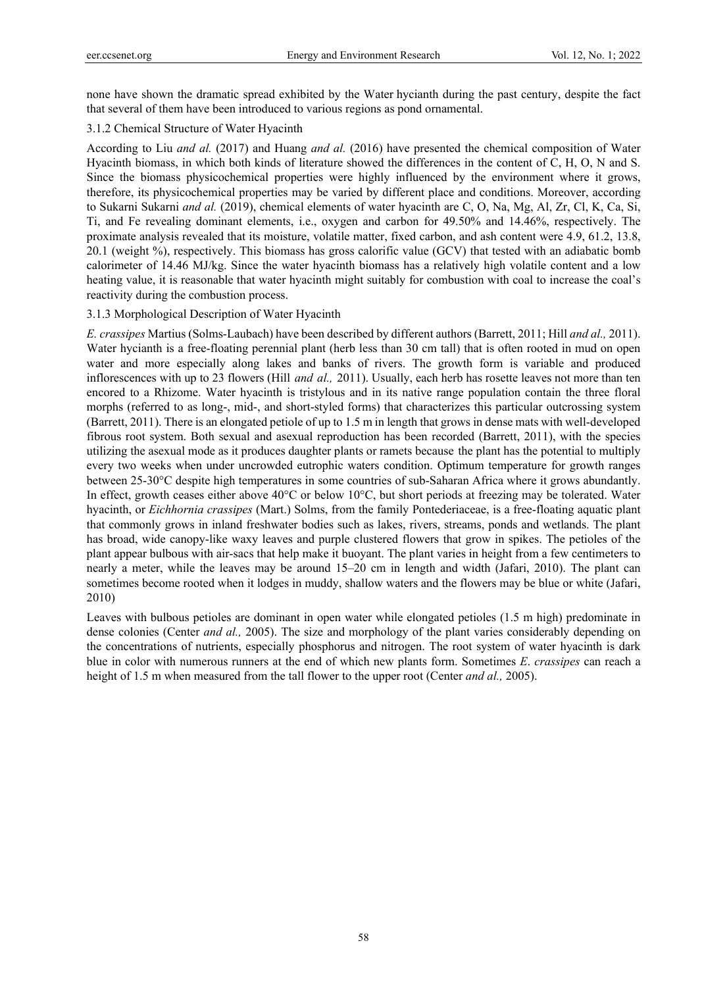none have shown the dramatic spread exhibited by the Water hycianth during the past century, despite the fact that several of them have been introduced to various regions as pond ornamental.

## 3.1.2 Chemical Structure of Water Hyacinth

According to Liu *and al.* (2017) and Huang *and al.* (2016) have presented the chemical composition of Water Hyacinth biomass, in which both kinds of literature showed the differences in the content of C, H, O, N and S. Since the biomass physicochemical properties were highly influenced by the environment where it grows, therefore, its physicochemical properties may be varied by different place and conditions. Moreover, according to Sukarni Sukarni *and al.* (2019), chemical elements of water hyacinth are C, O, Na, Mg, Al, Zr, Cl, K, Ca, Si, Ti, and Fe revealing dominant elements, i.e., oxygen and carbon for 49.50% and 14.46%, respectively. The proximate analysis revealed that its moisture, volatile matter, fixed carbon, and ash content were 4.9, 61.2, 13.8, 20.1 (weight %), respectively. This biomass has gross calorific value (GCV) that tested with an adiabatic bomb calorimeter of 14.46 MJ/kg. Since the water hyacinth biomass has a relatively high volatile content and a low heating value, it is reasonable that water hyacinth might suitably for combustion with coal to increase the coal's reactivity during the combustion process.

# 3.1.3 Morphological Description of Water Hyacinth

*E. crassipes* Martius (Solms-Laubach) have been described by different authors (Barrett, 2011; Hill *and al.,* 2011). Water hycianth is a free-floating perennial plant (herb less than 30 cm tall) that is often rooted in mud on open water and more especially along lakes and banks of rivers. The growth form is variable and produced inflorescences with up to 23 flowers (Hill *and al.,* 2011). Usually, each herb has rosette leaves not more than ten encored to a Rhizome. Water hyacinth is tristylous and in its native range population contain the three floral morphs (referred to as long-, mid-, and short-styled forms) that characterizes this particular outcrossing system (Barrett, 2011). There is an elongated petiole of up to 1.5 m in length that grows in dense mats with well-developed fibrous root system. Both sexual and asexual reproduction has been recorded (Barrett, 2011), with the species utilizing the asexual mode as it produces daughter plants or ramets because the plant has the potential to multiply every two weeks when under uncrowded eutrophic waters condition. Optimum temperature for growth ranges between 25-30°C despite high temperatures in some countries of sub-Saharan Africa where it grows abundantly. In effect, growth ceases either above 40°C or below 10°C, but short periods at freezing may be tolerated. Water hyacinth, or *Eichhornia crassipes* (Mart.) Solms, from the family Pontederiaceae, is a free-floating aquatic plant that commonly grows in inland freshwater bodies such as lakes, rivers, streams, ponds and wetlands. The plant has broad, wide canopy-like waxy leaves and purple clustered flowers that grow in spikes. The petioles of the plant appear bulbous with air-sacs that help make it buoyant. The plant varies in height from a few centimeters to nearly a meter, while the leaves may be around 15–20 cm in length and width (Jafari, 2010). The plant can sometimes become rooted when it lodges in muddy, shallow waters and the flowers may be blue or white (Jafari, 2010)

Leaves with bulbous petioles are dominant in open water while elongated petioles (1.5 m high) predominate in dense colonies (Center *and al.,* 2005). The size and morphology of the plant varies considerably depending on the concentrations of nutrients, especially phosphorus and nitrogen. The root system of water hyacinth is dark blue in color with numerous runners at the end of which new plants form. Sometimes *E*. *crassipes* can reach a height of 1.5 m when measured from the tall flower to the upper root (Center *and al.,* 2005).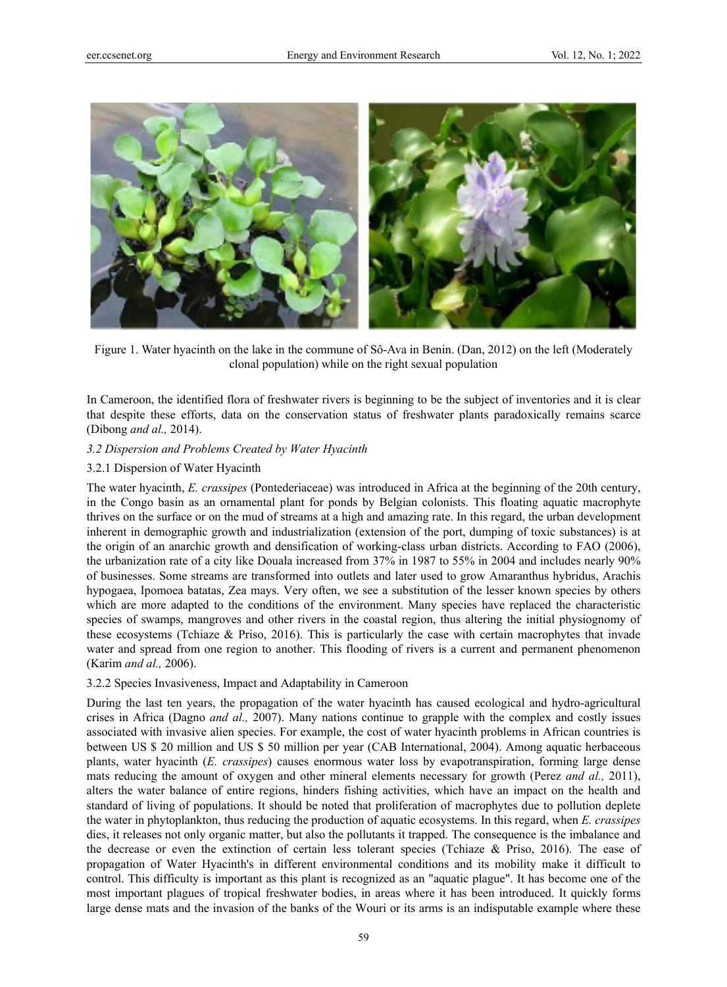

Figure 1. Water hyacinth on the lake in the commune of Sô-Ava in Benin. (Dan, 2012) on the left (Moderately clonal population) while on the right sexual population

In Cameroon, the identified flora of freshwater rivers is beginning to be the subject of inventories and it is clear that despite these efforts, data on the conservation status of freshwater plants paradoxically remains scarce (Dibong *and al.,* 2014).

# *3.2 Dispersion and Problems Created by Water Hyacinth*

# 3.2.1 Dispersion of Water Hyacinth

The water hyacinth, *E. crassipes* (Pontederiaceae) was introduced in Africa at the beginning of the 20th century, in the Congo basin as an ornamental plant for ponds by Belgian colonists. This floating aquatic macrophyte thrives on the surface or on the mud of streams at a high and amazing rate. In this regard, the urban development inherent in demographic growth and industrialization (extension of the port, dumping of toxic substances) is at the origin of an anarchic growth and densification of working-class urban districts. According to FAO (2006), the urbanization rate of a city like Douala increased from 37% in 1987 to 55% in 2004 and includes nearly 90% of businesses. Some streams are transformed into outlets and later used to grow Amaranthus hybridus, Arachis hypogaea, Ipomoea batatas, Zea mays. Very often, we see a substitution of the lesser known species by others which are more adapted to the conditions of the environment. Many species have replaced the characteristic species of swamps, mangroves and other rivers in the coastal region, thus altering the initial physiognomy of these ecosystems (Tchiaze & Priso, 2016). This is particularly the case with certain macrophytes that invade water and spread from one region to another. This flooding of rivers is a current and permanent phenomenon (Karim *and al.,* 2006).

# 3.2.2 Species Invasiveness, Impact and Adaptability in Cameroon

During the last ten years, the propagation of the water hyacinth has caused ecological and hydro-agricultural crises in Africa (Dagno *and al.,* 2007). Many nations continue to grapple with the complex and costly issues associated with invasive alien species. For example, the cost of water hyacinth problems in African countries is between US \$ 20 million and US \$ 50 million per year (CAB International, 2004). Among aquatic herbaceous plants, water hyacinth (*E. crassipes*) causes enormous water loss by evapotranspiration, forming large dense mats reducing the amount of oxygen and other mineral elements necessary for growth (Perez *and al.,* 2011), alters the water balance of entire regions, hinders fishing activities, which have an impact on the health and standard of living of populations. It should be noted that proliferation of macrophytes due to pollution deplete the water in phytoplankton, thus reducing the production of aquatic ecosystems. In this regard, when *E. crassipes* dies, it releases not only organic matter, but also the pollutants it trapped. The consequence is the imbalance and the decrease or even the extinction of certain less tolerant species (Tchiaze & Priso, 2016). The ease of propagation of Water Hyacinth's in different environmental conditions and its mobility make it difficult to control. This difficulty is important as this plant is recognized as an "aquatic plague". It has become one of the most important plagues of tropical freshwater bodies, in areas where it has been introduced. It quickly forms large dense mats and the invasion of the banks of the Wouri or its arms is an indisputable example where these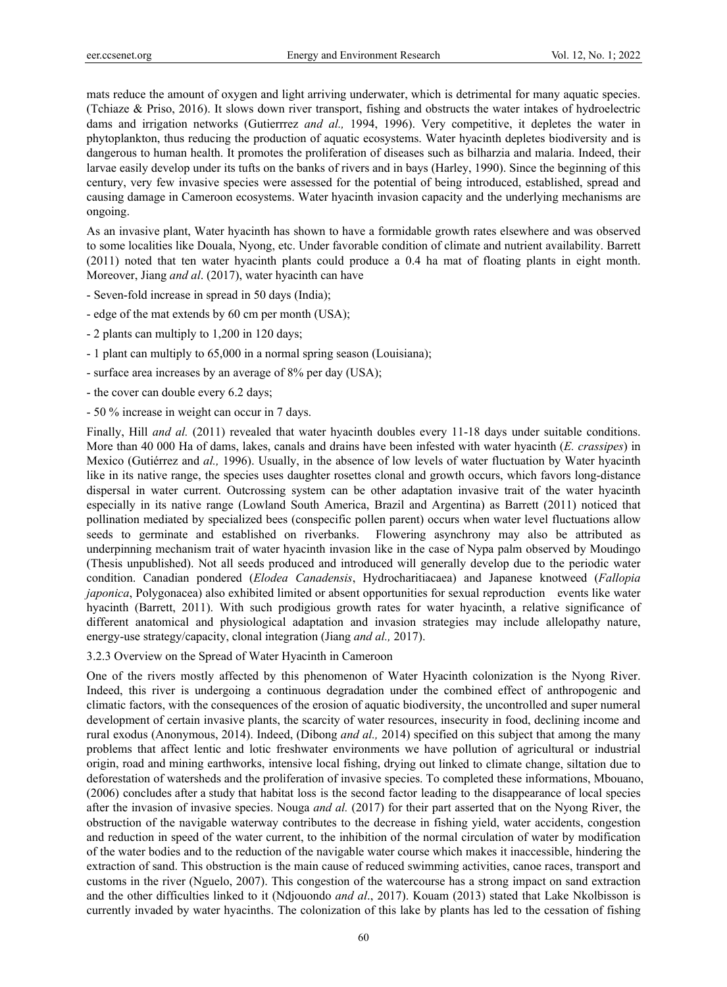mats reduce the amount of oxygen and light arriving underwater, which is detrimental for many aquatic species. (Tchiaze & Priso, 2016). It slows down river transport, fishing and obstructs the water intakes of hydroelectric dams and irrigation networks (Gutierrrez *and al.,* 1994, 1996). Very competitive, it depletes the water in phytoplankton, thus reducing the production of aquatic ecosystems. Water hyacinth depletes biodiversity and is dangerous to human health. It promotes the proliferation of diseases such as bilharzia and malaria. Indeed, their larvae easily develop under its tufts on the banks of rivers and in bays (Harley, 1990). Since the beginning of this century, very few invasive species were assessed for the potential of being introduced, established, spread and causing damage in Cameroon ecosystems. Water hyacinth invasion capacity and the underlying mechanisms are ongoing.

As an invasive plant, Water hyacinth has shown to have a formidable growth rates elsewhere and was observed to some localities like Douala, Nyong, etc. Under favorable condition of climate and nutrient availability. Barrett (2011) noted that ten water hyacinth plants could produce a 0.4 ha mat of floating plants in eight month. Moreover, Jiang *and al*. (2017), water hyacinth can have

- Seven-fold increase in spread in 50 days (India);
- edge of the mat extends by 60 cm per month (USA);
- 2 plants can multiply to 1,200 in 120 days;
- 1 plant can multiply to 65,000 in a normal spring season (Louisiana);
- surface area increases by an average of 8% per day (USA);
- the cover can double every 6.2 days;
- 50 % increase in weight can occur in 7 days.

Finally, Hill *and al.* (2011) revealed that water hyacinth doubles every 11-18 days under suitable conditions. More than 40 000 Ha of dams, lakes, canals and drains have been infested with water hyacinth (*E. crassipes*) in Mexico (Gutiérrez and *al.,* 1996). Usually, in the absence of low levels of water fluctuation by Water hyacinth like in its native range, the species uses daughter rosettes clonal and growth occurs, which favors long-distance dispersal in water current. Outcrossing system can be other adaptation invasive trait of the water hyacinth especially in its native range (Lowland South America, Brazil and Argentina) as Barrett (2011) noticed that pollination mediated by specialized bees (conspecific pollen parent) occurs when water level fluctuations allow seeds to germinate and established on riverbanks. Flowering asynchrony may also be attributed as underpinning mechanism trait of water hyacinth invasion like in the case of Nypa palm observed by Moudingo (Thesis unpublished). Not all seeds produced and introduced will generally develop due to the periodic water condition. Canadian pondered (*Elodea Canadensis*, Hydrocharitiacaea) and Japanese knotweed (*Fallopia japonica*, Polygonacea) also exhibited limited or absent opportunities for sexual reproduction events like water hyacinth (Barrett, 2011). With such prodigious growth rates for water hyacinth, a relative significance of different anatomical and physiological adaptation and invasion strategies may include allelopathy nature, energy-use strategy/capacity, clonal integration (Jiang *and al.,* 2017).

3.2.3 Overview on the Spread of Water Hyacinth in Cameroon

One of the rivers mostly affected by this phenomenon of Water Hyacinth colonization is the Nyong River. Indeed, this river is undergoing a continuous degradation under the combined effect of anthropogenic and climatic factors, with the consequences of the erosion of aquatic biodiversity, the uncontrolled and super numeral development of certain invasive plants, the scarcity of water resources, insecurity in food, declining income and rural exodus (Anonymous, 2014). Indeed, (Dibong *and al.,* 2014) specified on this subject that among the many problems that affect lentic and lotic freshwater environments we have pollution of agricultural or industrial origin, road and mining earthworks, intensive local fishing, drying out linked to climate change, siltation due to deforestation of watersheds and the proliferation of invasive species. To completed these informations, Mbouano, (2006) concludes after a study that habitat loss is the second factor leading to the disappearance of local species after the invasion of invasive species. Nouga *and al.* (2017) for their part asserted that on the Nyong River, the obstruction of the navigable waterway contributes to the decrease in fishing yield, water accidents, congestion and reduction in speed of the water current, to the inhibition of the normal circulation of water by modification of the water bodies and to the reduction of the navigable water course which makes it inaccessible, hindering the extraction of sand. This obstruction is the main cause of reduced swimming activities, canoe races, transport and customs in the river (Nguelo, 2007). This congestion of the watercourse has a strong impact on sand extraction and the other difficulties linked to it (Ndjouondo *and al*., 2017). Kouam (2013) stated that Lake Nkolbisson is currently invaded by water hyacinths. The colonization of this lake by plants has led to the cessation of fishing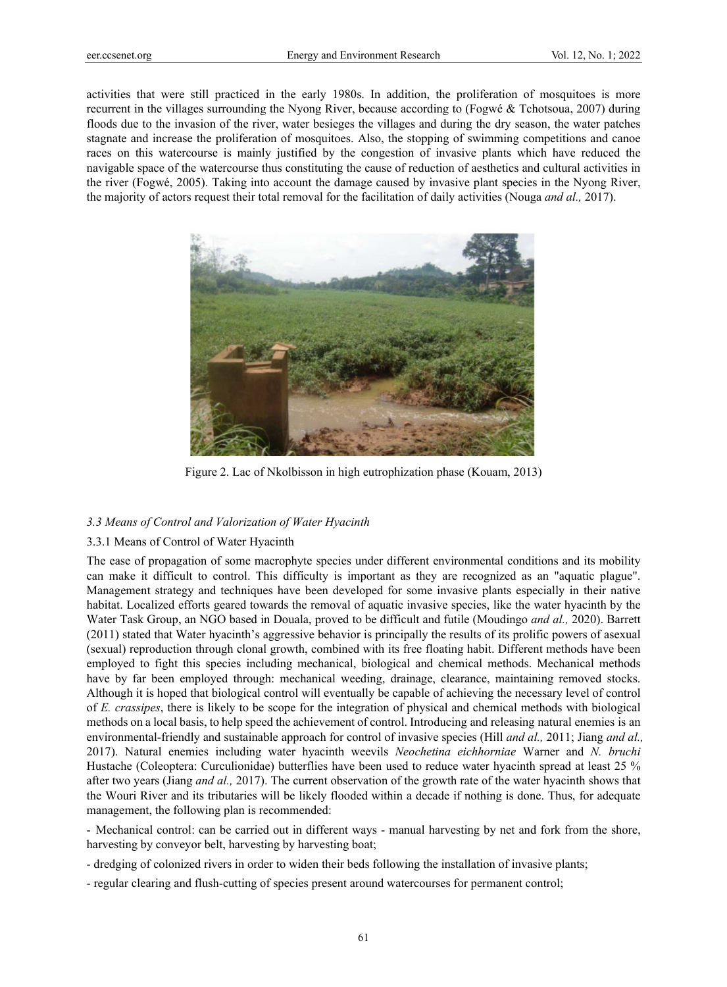activities that were still practiced in the early 1980s. In addition, the proliferation of mosquitoes is more recurrent in the villages surrounding the Nyong River, because according to (Fogwé & Tchotsoua, 2007) during floods due to the invasion of the river, water besieges the villages and during the dry season, the water patches stagnate and increase the proliferation of mosquitoes. Also, the stopping of swimming competitions and canoe races on this watercourse is mainly justified by the congestion of invasive plants which have reduced the navigable space of the watercourse thus constituting the cause of reduction of aesthetics and cultural activities in the river (Fogwé, 2005). Taking into account the damage caused by invasive plant species in the Nyong River, the majority of actors request their total removal for the facilitation of daily activities (Nouga *and al.,* 2017).



Figure 2. Lac of Nkolbisson in high eutrophization phase (Kouam, 2013)

# *3.3 Means of Control and Valorization of Water Hyacinth*

# 3.3.1 Means of Control of Water Hyacinth

The ease of propagation of some macrophyte species under different environmental conditions and its mobility can make it difficult to control. This difficulty is important as they are recognized as an "aquatic plague". Management strategy and techniques have been developed for some invasive plants especially in their native habitat. Localized efforts geared towards the removal of aquatic invasive species, like the water hyacinth by the Water Task Group, an NGO based in Douala, proved to be difficult and futile (Moudingo *and al.,* 2020). Barrett (2011) stated that Water hyacinth's aggressive behavior is principally the results of its prolific powers of asexual (sexual) reproduction through clonal growth, combined with its free floating habit. Different methods have been employed to fight this species including mechanical, biological and chemical methods. Mechanical methods have by far been employed through: mechanical weeding, drainage, clearance, maintaining removed stocks. Although it is hoped that biological control will eventually be capable of achieving the necessary level of control of *E. crassipes*, there is likely to be scope for the integration of physical and chemical methods with biological methods on a local basis, to help speed the achievement of control. Introducing and releasing natural enemies is an environmental-friendly and sustainable approach for control of invasive species (Hill *and al.,* 2011; Jiang *and al.,*  2017). Natural enemies including water hyacinth weevils *Neochetina eichhorniae* Warner and *N. bruchi* Hustache (Coleoptera: Curculionidae) butterflies have been used to reduce water hyacinth spread at least 25 % after two years (Jiang *and al.,* 2017). The current observation of the growth rate of the water hyacinth shows that the Wouri River and its tributaries will be likely flooded within a decade if nothing is done. Thus, for adequate management, the following plan is recommended:

- Mechanical control: can be carried out in different ways - manual harvesting by net and fork from the shore, harvesting by conveyor belt, harvesting by harvesting boat;

- dredging of colonized rivers in order to widen their beds following the installation of invasive plants;
- regular clearing and flush-cutting of species present around watercourses for permanent control;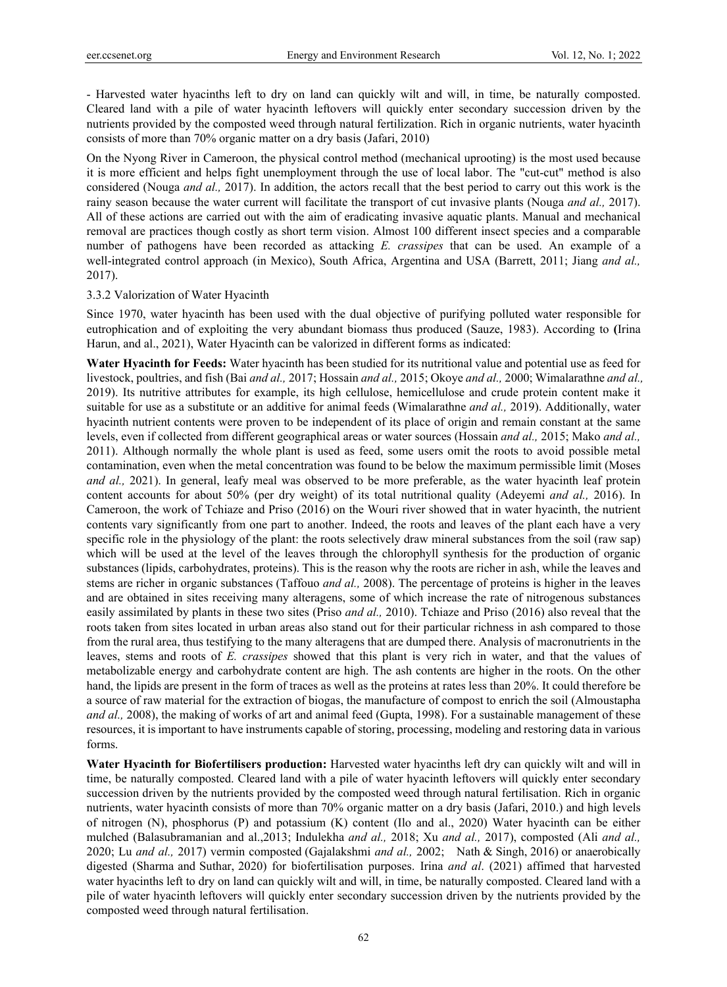- Harvested water hyacinths left to dry on land can quickly wilt and will, in time, be naturally composted. Cleared land with a pile of water hyacinth leftovers will quickly enter secondary succession driven by the nutrients provided by the composted weed through natural fertilization. Rich in organic nutrients, water hyacinth consists of more than 70% organic matter on a dry basis (Jafari, 2010)

On the Nyong River in Cameroon, the physical control method (mechanical uprooting) is the most used because it is more efficient and helps fight unemployment through the use of local labor. The "cut-cut" method is also considered (Nouga *and al.,* 2017). In addition, the actors recall that the best period to carry out this work is the rainy season because the water current will facilitate the transport of cut invasive plants (Nouga *and al.,* 2017). All of these actions are carried out with the aim of eradicating invasive aquatic plants. Manual and mechanical removal are practices though costly as short term vision. Almost 100 different insect species and a comparable number of pathogens have been recorded as attacking *E. crassipes* that can be used. An example of a well-integrated control approach (in Mexico), South Africa, Argentina and USA (Barrett, 2011; Jiang *and al.,* 2017).

#### 3.3.2 Valorization of Water Hyacinth

Since 1970, water hyacinth has been used with the dual objective of purifying polluted water responsible for eutrophication and of exploiting the very abundant biomass thus produced (Sauze, 1983). According to **(**Irina Harun, and al., 2021), Water Hyacinth can be valorized in different forms as indicated:

**Water Hyacinth for Feeds:** Water hyacinth has been studied for its nutritional value and potential use as feed for livestock, poultries, and fish (Bai *and al.,* 2017; Hossain *and al.,* 2015; Okoye *and al.,* 2000; Wimalarathne *and al.,* 2019). Its nutritive attributes for example, its high cellulose, hemicellulose and crude protein content make it suitable for use as a substitute or an additive for animal feeds (Wimalarathne *and al.,* 2019). Additionally, water hyacinth nutrient contents were proven to be independent of its place of origin and remain constant at the same levels, even if collected from different geographical areas or water sources (Hossain *and al.,* 2015; Mako *and al.,* 2011). Although normally the whole plant is used as feed, some users omit the roots to avoid possible metal contamination, even when the metal concentration was found to be below the maximum permissible limit (Moses *and al.,* 2021). In general, leafy meal was observed to be more preferable, as the water hyacinth leaf protein content accounts for about 50% (per dry weight) of its total nutritional quality (Adeyemi *and al.,* 2016). In Cameroon, the work of Tchiaze and Priso (2016) on the Wouri river showed that in water hyacinth, the nutrient contents vary significantly from one part to another. Indeed, the roots and leaves of the plant each have a very specific role in the physiology of the plant: the roots selectively draw mineral substances from the soil (raw sap) which will be used at the level of the leaves through the chlorophyll synthesis for the production of organic substances (lipids, carbohydrates, proteins). This is the reason why the roots are richer in ash, while the leaves and stems are richer in organic substances (Taffouo *and al.,* 2008). The percentage of proteins is higher in the leaves and are obtained in sites receiving many alteragens, some of which increase the rate of nitrogenous substances easily assimilated by plants in these two sites (Priso *and al.,* 2010). Tchiaze and Priso (2016) also reveal that the roots taken from sites located in urban areas also stand out for their particular richness in ash compared to those from the rural area, thus testifying to the many alteragens that are dumped there. Analysis of macronutrients in the leaves, stems and roots of *E. crassipes* showed that this plant is very rich in water, and that the values of metabolizable energy and carbohydrate content are high. The ash contents are higher in the roots. On the other hand, the lipids are present in the form of traces as well as the proteins at rates less than 20%. It could therefore be a source of raw material for the extraction of biogas, the manufacture of compost to enrich the soil (Almoustapha *and al.,* 2008), the making of works of art and animal feed (Gupta, 1998). For a sustainable management of these resources, it is important to have instruments capable of storing, processing, modeling and restoring data in various forms.

**Water Hyacinth for Biofertilisers production:** Harvested water hyacinths left dry can quickly wilt and will in time, be naturally composted. Cleared land with a pile of water hyacinth leftovers will quickly enter secondary succession driven by the nutrients provided by the composted weed through natural fertilisation. Rich in organic nutrients, water hyacinth consists of more than 70% organic matter on a dry basis (Jafari, 2010.) and high levels of nitrogen (N), phosphorus (P) and potassium (K) content (Ilo and al., 2020) Water hyacinth can be either mulched (Balasubramanian and al.,2013; Indulekha *and al.,* 2018; Xu *and al.,* 2017), composted (Ali *and al.,*  2020; Lu *and al.,* 2017) vermin composted (Gajalakshmi *and al.,* 2002; Nath & Singh, 2016) or anaerobically digested (Sharma and Suthar, 2020) for biofertilisation purposes. Irina *and al*. (2021) affimed that harvested water hyacinths left to dry on land can quickly wilt and will, in time, be naturally composted. Cleared land with a pile of water hyacinth leftovers will quickly enter secondary succession driven by the nutrients provided by the composted weed through natural fertilisation.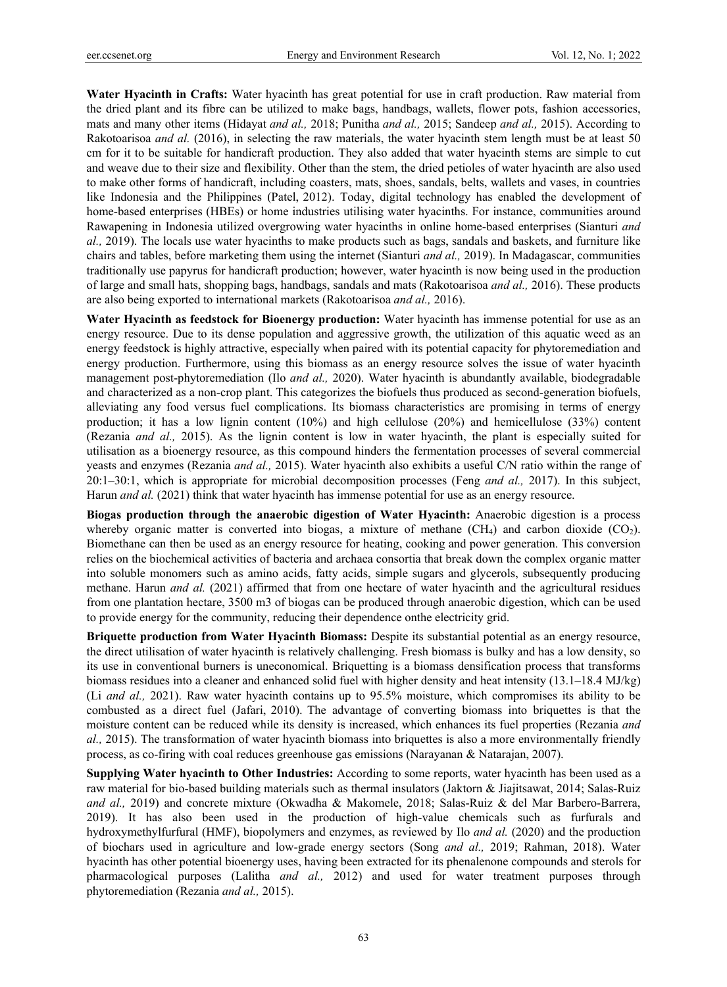**Water Hyacinth in Crafts:** Water hyacinth has great potential for use in craft production. Raw material from the dried plant and its fibre can be utilized to make bags, handbags, wallets, flower pots, fashion accessories, mats and many other items (Hidayat *and al.,* 2018; Punitha *and al.,* 2015; Sandeep *and al.,* 2015). According to Rakotoarisoa *and al.* (2016), in selecting the raw materials, the water hyacinth stem length must be at least 50 cm for it to be suitable for handicraft production. They also added that water hyacinth stems are simple to cut and weave due to their size and flexibility. Other than the stem, the dried petioles of water hyacinth are also used to make other forms of handicraft, including coasters, mats, shoes, sandals, belts, wallets and vases, in countries like Indonesia and the Philippines (Patel, 2012). Today, digital technology has enabled the development of home-based enterprises (HBEs) or home industries utilising water hyacinths. For instance, communities around Rawapening in Indonesia utilized overgrowing water hyacinths in online home-based enterprises (Sianturi *and al.,* 2019). The locals use water hyacinths to make products such as bags, sandals and baskets, and furniture like chairs and tables, before marketing them using the internet (Sianturi *and al.,* 2019). In Madagascar, communities traditionally use papyrus for handicraft production; however, water hyacinth is now being used in the production of large and small hats, shopping bags, handbags, sandals and mats (Rakotoarisoa *and al.,* 2016). These products are also being exported to international markets (Rakotoarisoa *and al.,* 2016).

**Water Hyacinth as feedstock for Bioenergy production:** Water hyacinth has immense potential for use as an energy resource. Due to its dense population and aggressive growth, the utilization of this aquatic weed as an energy feedstock is highly attractive, especially when paired with its potential capacity for phytoremediation and energy production. Furthermore, using this biomass as an energy resource solves the issue of water hyacinth management post-phytoremediation (Ilo *and al.,* 2020). Water hyacinth is abundantly available, biodegradable and characterized as a non-crop plant. This categorizes the biofuels thus produced as second-generation biofuels, alleviating any food versus fuel complications. Its biomass characteristics are promising in terms of energy production; it has a low lignin content (10%) and high cellulose (20%) and hemicellulose (33%) content (Rezania *and al.,* 2015). As the lignin content is low in water hyacinth, the plant is especially suited for utilisation as a bioenergy resource, as this compound hinders the fermentation processes of several commercial yeasts and enzymes (Rezania *and al.,* 2015). Water hyacinth also exhibits a useful C/N ratio within the range of 20:1–30:1, which is appropriate for microbial decomposition processes (Feng *and al.,* 2017). In this subject, Harun *and al.* (2021) think that water hyacinth has immense potential for use as an energy resource.

**Biogas production through the anaerobic digestion of Water Hyacinth:** Anaerobic digestion is a process whereby organic matter is converted into biogas, a mixture of methane  $(CH_4)$  and carbon dioxide  $(CO_2)$ . Biomethane can then be used as an energy resource for heating, cooking and power generation. This conversion relies on the biochemical activities of bacteria and archaea consortia that break down the complex organic matter into soluble monomers such as amino acids, fatty acids, simple sugars and glycerols, subsequently producing methane. Harun *and al.* (2021) affirmed that from one hectare of water hyacinth and the agricultural residues from one plantation hectare, 3500 m3 of biogas can be produced through anaerobic digestion, which can be used to provide energy for the community, reducing their dependence onthe electricity grid.

**Briquette production from Water Hyacinth Biomass:** Despite its substantial potential as an energy resource, the direct utilisation of water hyacinth is relatively challenging. Fresh biomass is bulky and has a low density, so its use in conventional burners is uneconomical. Briquetting is a biomass densification process that transforms biomass residues into a cleaner and enhanced solid fuel with higher density and heat intensity (13.1–18.4 MJ/kg) (Li *and al.,* 2021). Raw water hyacinth contains up to 95.5% moisture, which compromises its ability to be combusted as a direct fuel (Jafari, 2010). The advantage of converting biomass into briquettes is that the moisture content can be reduced while its density is increased, which enhances its fuel properties (Rezania *and al.,* 2015). The transformation of water hyacinth biomass into briquettes is also a more environmentally friendly process, as co-firing with coal reduces greenhouse gas emissions (Narayanan & Natarajan, 2007).

**Supplying Water hyacinth to Other Industries:** According to some reports, water hyacinth has been used as a raw material for bio-based building materials such as thermal insulators (Jaktorn & Jiajitsawat, 2014; Salas-Ruiz *and al.,* 2019) and concrete mixture (Okwadha & Makomele, 2018; Salas-Ruiz & del Mar Barbero-Barrera, 2019). It has also been used in the production of high-value chemicals such as furfurals and hydroxymethylfurfural (HMF), biopolymers and enzymes, as reviewed by Ilo *and al.* (2020) and the production of biochars used in agriculture and low-grade energy sectors (Song *and al.,* 2019; Rahman, 2018). Water hyacinth has other potential bioenergy uses, having been extracted for its phenalenone compounds and sterols for pharmacological purposes (Lalitha *and al.,* 2012) and used for water treatment purposes through phytoremediation (Rezania *and al.,* 2015).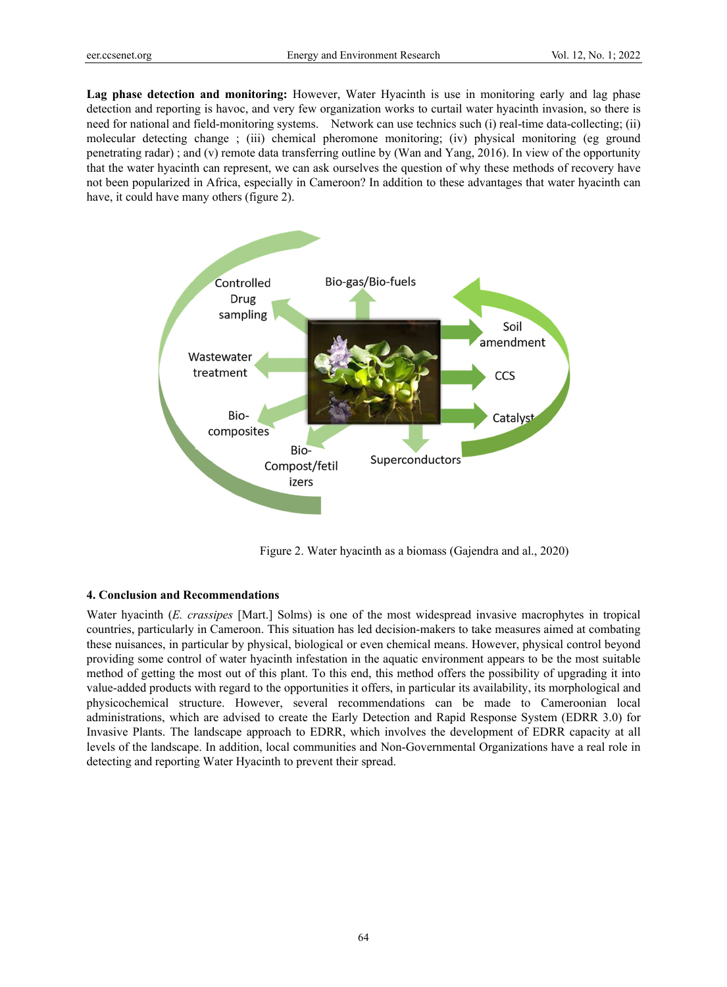**Lag phase detection and monitoring:** However, Water Hyacinth is use in monitoring early and lag phase detection and reporting is havoc, and very few organization works to curtail water hyacinth invasion, so there is need for national and field-monitoring systems. Network can use technics such (i) real-time data-collecting; (ii) molecular detecting change ; (iii) chemical pheromone monitoring; (iv) physical monitoring (eg ground penetrating radar) ; and (v) remote data transferring outline by (Wan and Yang, 2016). In view of the opportunity that the water hyacinth can represent, we can ask ourselves the question of why these methods of recovery have not been popularized in Africa, especially in Cameroon? In addition to these advantages that water hyacinth can have, it could have many others (figure 2).



Figure 2. Water hyacinth as a biomass (Gajendra and al., 2020)

## **4. Conclusion and Recommendations**

Water hyacinth (*E. crassipes* [Mart.] Solms) is one of the most widespread invasive macrophytes in tropical countries, particularly in Cameroon. This situation has led decision-makers to take measures aimed at combating these nuisances, in particular by physical, biological or even chemical means. However, physical control beyond providing some control of water hyacinth infestation in the aquatic environment appears to be the most suitable method of getting the most out of this plant. To this end, this method offers the possibility of upgrading it into value-added products with regard to the opportunities it offers, in particular its availability, its morphological and physicochemical structure. However, several recommendations can be made to Cameroonian local administrations, which are advised to create the Early Detection and Rapid Response System (EDRR 3.0) for Invasive Plants. The landscape approach to EDRR, which involves the development of EDRR capacity at all levels of the landscape. In addition, local communities and Non-Governmental Organizations have a real role in detecting and reporting Water Hyacinth to prevent their spread.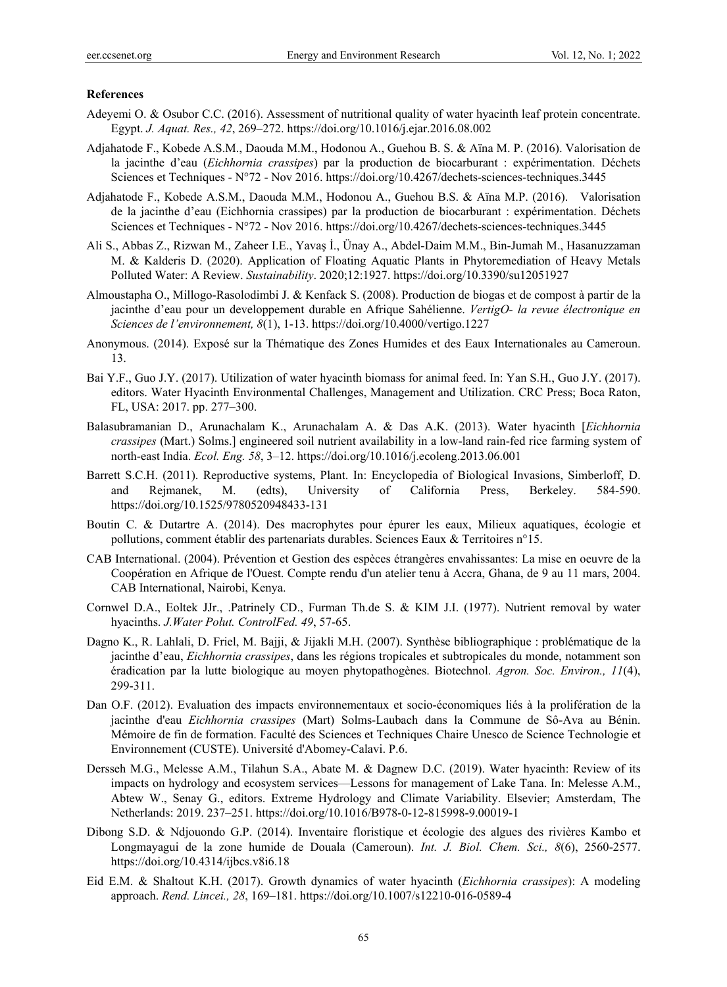### **References**

- Adeyemi O. & Osubor C.C. (2016). Assessment of nutritional quality of water hyacinth leaf protein concentrate. Egypt. *J. Aquat. Res., 42*, 269–272. https://doi.org/10.1016/j.ejar.2016.08.002
- Adjahatode F., Kobede A.S.M., Daouda M.M., Hodonou A., Guehou B. S. & Aïna M. P. (2016). Valorisation de la jacinthe d'eau (*Eichhornia crassipes*) par la production de biocarburant : expérimentation. Déchets Sciences et Techniques - N°72 - Nov 2016. https://doi.org/10.4267/dechets-sciences-techniques.3445
- Adjahatode F., Kobede A.S.M., Daouda M.M., Hodonou A., Guehou B.S. & Aïna M.P. (2016). Valorisation de la jacinthe d'eau (Eichhornia crassipes) par la production de biocarburant : expérimentation. Déchets Sciences et Techniques - N°72 - Nov 2016. https://doi.org/10.4267/dechets-sciences-techniques.3445
- Ali S., Abbas Z., Rizwan M., Zaheer I.E., Yavaş İ., Ünay A., Abdel-Daim M.M., Bin-Jumah M., Hasanuzzaman M. & Kalderis D. (2020). Application of Floating Aquatic Plants in Phytoremediation of Heavy Metals Polluted Water: A Review. *Sustainability*. 2020;12:1927. https://doi.org/10.3390/su12051927
- Almoustapha O., Millogo-Rasolodimbi J. & Kenfack S. (2008). Production de biogas et de compost à partir de la jacinthe d'eau pour un developpement durable en Afrique Sahélienne. *VertigO- la revue électronique en Sciences de l'environnement, 8*(1), 1-13. https://doi.org/10.4000/vertigo.1227
- Anonymous. (2014). Exposé sur la Thématique des Zones Humides et des Eaux Internationales au Cameroun. 13.
- Bai Y.F., Guo J.Y. (2017). Utilization of water hyacinth biomass for animal feed. In: Yan S.H., Guo J.Y. (2017). editors. Water Hyacinth Environmental Challenges, Management and Utilization. CRC Press; Boca Raton, FL, USA: 2017. pp. 277–300.
- Balasubramanian D., Arunachalam K., Arunachalam A. & Das A.K. (2013). Water hyacinth [*Eichhornia crassipes* (Mart.) Solms.] engineered soil nutrient availability in a low-land rain-fed rice farming system of north-east India. *Ecol. Eng. 58*, 3–12. https://doi.org/10.1016/j.ecoleng.2013.06.001
- Barrett S.C.H. (2011). Reproductive systems, Plant. In: Encyclopedia of Biological Invasions, Simberloff, D. and Rejmanek, M. (edts), University of California Press, Berkeley. 584-590. https://doi.org/10.1525/9780520948433-131
- Boutin C. & Dutartre A. (2014). Des macrophytes pour épurer les eaux, Milieux aquatiques, écologie et pollutions, comment établir des partenariats durables. Sciences Eaux & Territoires n°15.
- CAB International. (2004). Prévention et Gestion des espèces étrangères envahissantes: La mise en oeuvre de la Coopération en Afrique de l'Ouest. Compte rendu d'un atelier tenu à Accra, Ghana, de 9 au 11 mars, 2004. CAB International, Nairobi, Kenya.
- Cornwel D.A., Eoltek JJr., .Patrinely CD., Furman Th.de S. & KIM J.I. (1977). Nutrient removal by water hyacinths. *J.Water Polut. ControlFed. 49*, 57-65.
- Dagno K., R. Lahlali, D. Friel, M. Bajji, & Jijakli M.H. (2007). Synthèse bibliographique : problématique de la jacinthe d'eau, *Eichhornia crassipes*, dans les régions tropicales et subtropicales du monde, notamment son éradication par la lutte biologique au moyen phytopathogènes. Biotechnol. *Agron. Soc. Environ., 11*(4), 299-311.
- Dan O.F. (2012). Evaluation des impacts environnementaux et socio-économiques liés à la prolifération de la jacinthe d'eau *Eichhornia crassipes* (Mart) Solms-Laubach dans la Commune de Sô-Ava au Bénin. Mémoire de fin de formation. Faculté des Sciences et Techniques Chaire Unesco de Science Technologie et Environnement (CUSTE). Université d'Abomey-Calavi. P.6.
- Dersseh M.G., Melesse A.M., Tilahun S.A., Abate M. & Dagnew D.C. (2019). Water hyacinth: Review of its impacts on hydrology and ecosystem services—Lessons for management of Lake Tana. In: Melesse A.M., Abtew W., Senay G., editors. Extreme Hydrology and Climate Variability. Elsevier; Amsterdam, The Netherlands: 2019. 237–251. https://doi.org/10.1016/B978-0-12-815998-9.00019-1
- Dibong S.D. & Ndjouondo G.P. (2014). Inventaire floristique et écologie des algues des rivières Kambo et Longmayagui de la zone humide de Douala (Cameroun). *Int. J. Biol. Chem. Sci., 8*(6), 2560-2577. https://doi.org/10.4314/ijbcs.v8i6.18
- Eid E.M. & Shaltout K.H. (2017). Growth dynamics of water hyacinth (*Eichhornia crassipes*): A modeling approach. *Rend. Lincei., 28*, 169–181. https://doi.org/10.1007/s12210-016-0589-4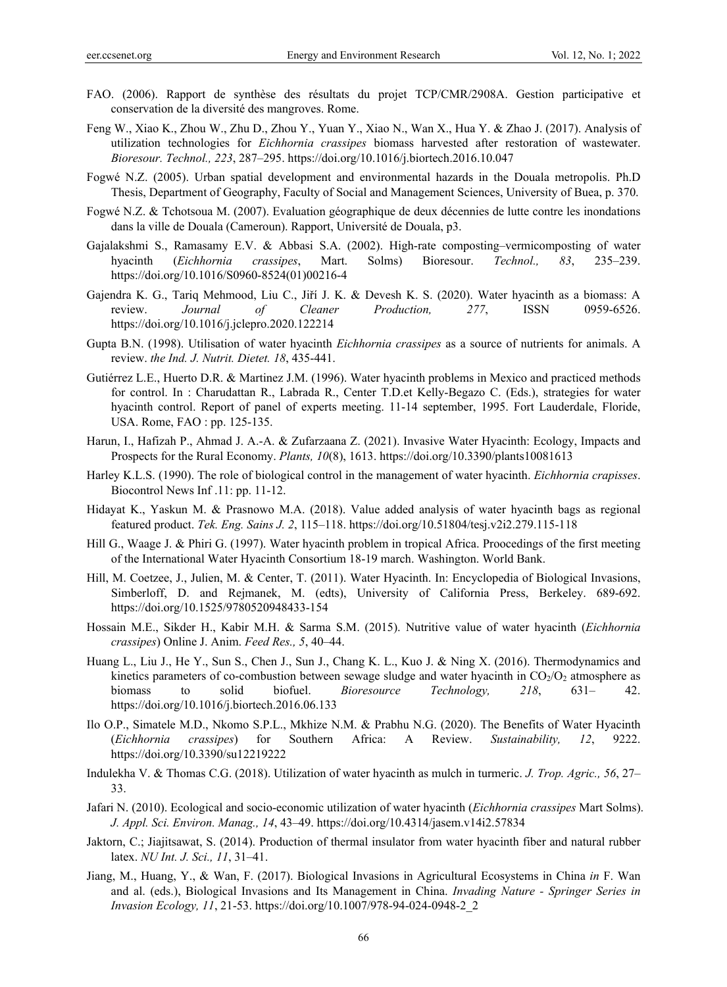- FAO. (2006). Rapport de synthèse des résultats du projet TCP/CMR/2908A. Gestion participative et conservation de la diversité des mangroves. Rome.
- Feng W., Xiao K., Zhou W., Zhu D., Zhou Y., Yuan Y., Xiao N., Wan X., Hua Y. & Zhao J. (2017). Analysis of utilization technologies for *Eichhornia crassipes* biomass harvested after restoration of wastewater. *Bioresour. Technol., 223*, 287–295. https://doi.org/10.1016/j.biortech.2016.10.047
- Fogwé N.Z. (2005). Urban spatial development and environmental hazards in the Douala metropolis. Ph.D Thesis, Department of Geography, Faculty of Social and Management Sciences, University of Buea, p. 370.
- Fogwé N.Z. & Tchotsoua M. (2007). Evaluation géographique de deux décennies de lutte contre les inondations dans la ville de Douala (Cameroun). Rapport, Université de Douala, p3.
- Gajalakshmi S., Ramasamy E.V. & Abbasi S.A. (2002). High-rate composting–vermicomposting of water hyacinth (*Eichhornia crassipes*, Mart. Solms) Bioresour. *Technol., 83*, 235–239. https://doi.org/10.1016/S0960-8524(01)00216-4
- Gajendra K. G., Tariq Mehmood, Liu C., Jiří J. K. & Devesh K. S. (2020). Water hyacinth as a biomass: A review. *Journal of Cleaner Production, 277*, ISSN 0959-6526. https://doi.org/10.1016/j.jclepro.2020.122214
- Gupta B.N. (1998). Utilisation of water hyacinth *Eichhornia crassipes* as a source of nutrients for animals. A review. *the Ind. J. Nutrit. Dietet. 18*, 435-441.
- Gutiérrez L.E., Huerto D.R. & Martinez J.M. (1996). Water hyacinth problems in Mexico and practiced methods for control. In : Charudattan R., Labrada R., Center T.D.et Kelly-Begazo C. (Eds.), strategies for water hyacinth control. Report of panel of experts meeting. 11-14 september, 1995. Fort Lauderdale, Floride, USA. Rome, FAO : pp. 125-135.
- Harun, I., Hafizah P., Ahmad J. A.-A. & Zufarzaana Z. (2021). Invasive Water Hyacinth: Ecology, Impacts and Prospects for the Rural Economy. *Plants, 10*(8), 1613. https://doi.org/10.3390/plants10081613
- Harley K.L.S. (1990). The role of biological control in the management of water hyacinth. *Eichhornia crapisses*. Biocontrol News Inf .11: pp. 11-12.
- Hidayat K., Yaskun M. & Prasnowo M.A. (2018). Value added analysis of water hyacinth bags as regional featured product. *Tek. Eng. Sains J. 2*, 115–118. https://doi.org/10.51804/tesj.v2i2.279.115-118
- Hill G., Waage J. & Phiri G. (1997). Water hyacinth problem in tropical Africa. Proocedings of the first meeting of the International Water Hyacinth Consortium 18-19 march. Washington. World Bank.
- Hill, M. Coetzee, J., Julien, M. & Center, T. (2011). Water Hyacinth. In: Encyclopedia of Biological Invasions, Simberloff, D. and Rejmanek, M. (edts), University of California Press, Berkeley. 689-692. https://doi.org/10.1525/9780520948433-154
- Hossain M.E., Sikder H., Kabir M.H. & Sarma S.M. (2015). Nutritive value of water hyacinth (*Eichhornia crassipes*) Online J. Anim. *Feed Res., 5*, 40–44.
- Huang L., Liu J., He Y., Sun S., Chen J., Sun J., Chang K. L., Kuo J. & Ning X. (2016). Thermodynamics and kinetics parameters of co-combustion between sewage sludge and water hyacinth in  $CO<sub>2</sub>/O<sub>2</sub>$  atmosphere as biomass to solid biofuel. *Bioresource Technology, 218*, 631– 42. https://doi.org/10.1016/j.biortech.2016.06.133
- Ilo O.P., Simatele M.D., Nkomo S.P.L., Mkhize N.M. & Prabhu N.G. (2020). The Benefits of Water Hyacinth (*Eichhornia crassipes*) for Southern Africa: A Review. *Sustainability, 12*, 9222. https://doi.org/10.3390/su12219222
- Indulekha V. & Thomas C.G. (2018). Utilization of water hyacinth as mulch in turmeric. *J. Trop. Agric., 56*, 27– 33.
- Jafari N. (2010). Ecological and socio-economic utilization of water hyacinth (*Eichhornia crassipes* Mart Solms). *J. Appl. Sci. Environ. Manag., 14*, 43–49. https://doi.org/10.4314/jasem.v14i2.57834
- Jaktorn, C.; Jiajitsawat, S. (2014). Production of thermal insulator from water hyacinth fiber and natural rubber latex. *NU Int. J. Sci., 11*, 31–41.
- Jiang, M., Huang, Y., & Wan, F. (2017). Biological Invasions in Agricultural Ecosystems in China *in* F. Wan and al. (eds.), Biological Invasions and Its Management in China. *Invading Nature - Springer Series in Invasion Ecology, 11*, 21-53. https://doi.org/10.1007/978-94-024-0948-2\_2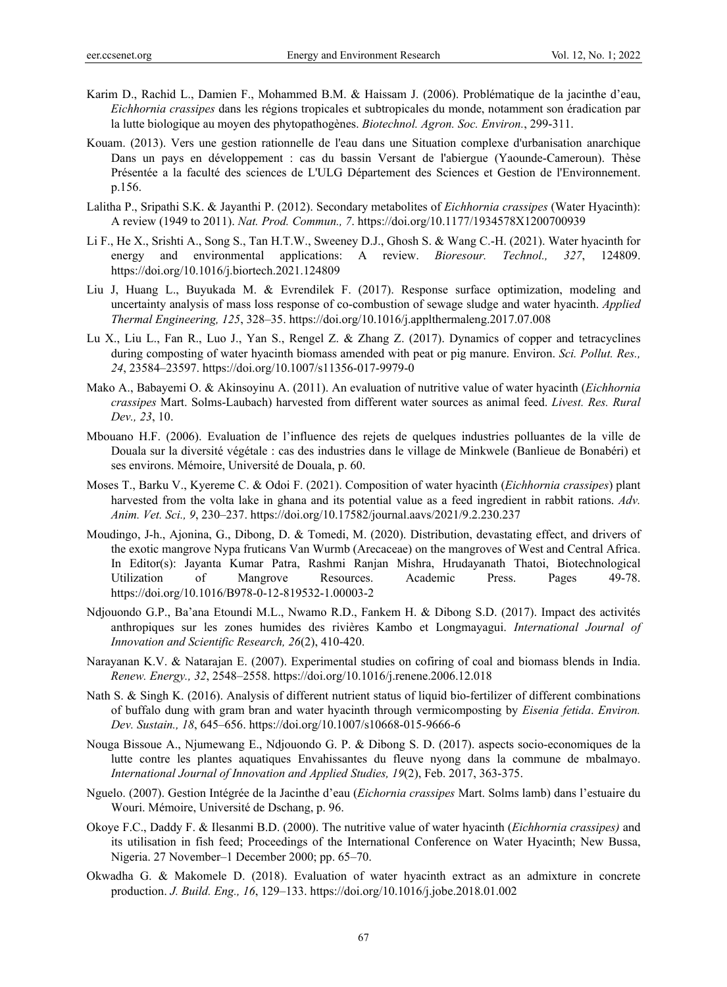- Karim D., Rachid L., Damien F., Mohammed B.M. & Haissam J. (2006). Problématique de la jacinthe d'eau, *Eichhornia crassipes* dans les régions tropicales et subtropicales du monde, notamment son éradication par la lutte biologique au moyen des phytopathogènes. *Biotechnol. Agron. Soc. Environ.*, 299-311.
- Kouam. (2013). Vers une gestion rationnelle de l'eau dans une Situation complexe d'urbanisation anarchique Dans un pays en développement : cas du bassin Versant de l'abiergue (Yaounde-Cameroun). Thèse Présentée a la faculté des sciences de L'ULG Département des Sciences et Gestion de l'Environnement. p.156.
- Lalitha P., Sripathi S.K. & Jayanthi P. (2012). Secondary metabolites of *Eichhornia crassipes* (Water Hyacinth): A review (1949 to 2011). *Nat. Prod. Commun., 7*. https://doi.org/10.1177/1934578X1200700939
- Li F., He X., Srishti A., Song S., Tan H.T.W., Sweeney D.J., Ghosh S. & Wang C.-H. (2021). Water hyacinth for energy and environmental applications: A review. *Bioresour. Technol., 327*, 124809. https://doi.org/10.1016/j.biortech.2021.124809
- Liu J, Huang L., Buyukada M. & Evrendilek F. (2017). Response surface optimization, modeling and uncertainty analysis of mass loss response of co-combustion of sewage sludge and water hyacinth. *Applied Thermal Engineering, 125*, 328–35. https://doi.org/10.1016/j.applthermaleng.2017.07.008
- Lu X., Liu L., Fan R., Luo J., Yan S., Rengel Z. & Zhang Z. (2017). Dynamics of copper and tetracyclines during composting of water hyacinth biomass amended with peat or pig manure. Environ. *Sci. Pollut. Res., 24*, 23584–23597. https://doi.org/10.1007/s11356-017-9979-0
- Mako A., Babayemi O. & Akinsoyinu A. (2011). An evaluation of nutritive value of water hyacinth (*Eichhornia crassipes* Mart. Solms-Laubach) harvested from different water sources as animal feed. *Livest. Res. Rural Dev., 23*, 10.
- Mbouano H.F. (2006). Evaluation de l'influence des rejets de quelques industries polluantes de la ville de Douala sur la diversité végétale : cas des industries dans le village de Minkwele (Banlieue de Bonabéri) et ses environs. Mémoire, Université de Douala, p. 60.
- Moses T., Barku V., Kyereme C. & Odoi F. (2021). Composition of water hyacinth (*Eichhornia crassipes*) plant harvested from the volta lake in ghana and its potential value as a feed ingredient in rabbit rations. *Adv. Anim. Vet. Sci., 9*, 230–237. https://doi.org/10.17582/journal.aavs/2021/9.2.230.237
- Moudingo, J-h., Ajonina, G., Dibong, D. & Tomedi, M. (2020). Distribution, devastating effect, and drivers of the exotic mangrove Nypa fruticans Van Wurmb (Arecaceae) on the mangroves of West and Central Africa. In Editor(s): Jayanta Kumar Patra, Rashmi Ranjan Mishra, Hrudayanath Thatoi, Biotechnological Utilization of Mangrove Resources. Academic Press. Pages 49-78. https://doi.org/10.1016/B978-0-12-819532-1.00003-2
- Ndjouondo G.P., Ba'ana Etoundi M.L., Nwamo R.D., Fankem H. & Dibong S.D. (2017). Impact des activités anthropiques sur les zones humides des rivières Kambo et Longmayagui. *International Journal of Innovation and Scientific Research, 26*(2), 410-420.
- Narayanan K.V. & Natarajan E. (2007). Experimental studies on cofiring of coal and biomass blends in India. *Renew. Energy., 32*, 2548–2558. https://doi.org/10.1016/j.renene.2006.12.018
- Nath S. & Singh K. (2016). Analysis of different nutrient status of liquid bio-fertilizer of different combinations of buffalo dung with gram bran and water hyacinth through vermicomposting by *Eisenia fetida*. *Environ. Dev. Sustain., 18*, 645–656. https://doi.org/10.1007/s10668-015-9666-6
- Nouga Bissoue A., Njumewang E., Ndjouondo G. P. & Dibong S. D. (2017). aspects socio-economiques de la lutte contre les plantes aquatiques Envahissantes du fleuve nyong dans la commune de mbalmayo. *International Journal of Innovation and Applied Studies, 19*(2), Feb. 2017, 363-375.
- Nguelo. (2007). Gestion Intégrée de la Jacinthe d'eau (*Eichornia crassipes* Mart. Solms lamb) dans l'estuaire du Wouri. Mémoire, Université de Dschang, p. 96.
- Okoye F.C., Daddy F. & Ilesanmi B.D. (2000). The nutritive value of water hyacinth (*Eichhornia crassipes)* and its utilisation in fish feed; Proceedings of the International Conference on Water Hyacinth; New Bussa, Nigeria. 27 November–1 December 2000; pp. 65–70.
- Okwadha G. & Makomele D. (2018). Evaluation of water hyacinth extract as an admixture in concrete production. *J. Build. Eng., 16*, 129–133. https://doi.org/10.1016/j.jobe.2018.01.002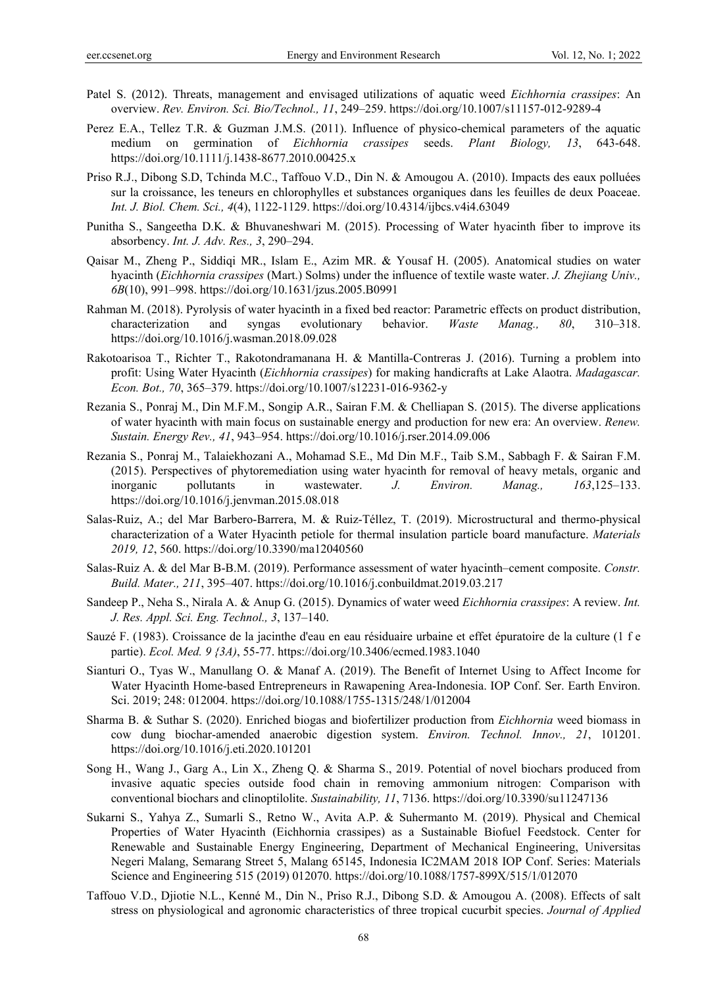- Patel S. (2012). Threats, management and envisaged utilizations of aquatic weed *Eichhornia crassipes*: An overview. *Rev. Environ. Sci. Bio/Technol., 11*, 249–259. https://doi.org/10.1007/s11157-012-9289-4
- Perez E.A., Tellez T.R. & Guzman J.M.S. (2011). Influence of physico-chemical parameters of the aquatic medium on germination of *Eichhornia crassipes* seeds. *Plant Biology, 13*, 643-648. https://doi.org/10.1111/j.1438-8677.2010.00425.x
- Priso R.J., Dibong S.D, Tchinda M.C., Taffouo V.D., Din N. & Amougou A. (2010). Impacts des eaux polluées sur la croissance, les teneurs en chlorophylles et substances organiques dans les feuilles de deux Poaceae. *Int. J. Biol. Chem. Sci., 4*(4), 1122-1129. https://doi.org/10.4314/ijbcs.v4i4.63049
- Punitha S., Sangeetha D.K. & Bhuvaneshwari M. (2015). Processing of Water hyacinth fiber to improve its absorbency. *Int. J. Adv. Res., 3*, 290–294.
- Qaisar M., Zheng P., Siddiqi MR., Islam E., Azim MR. & Yousaf H. (2005). Anatomical studies on water hyacinth (*Eichhornia crassipes* (Mart.) Solms) under the influence of textile waste water. *J. Zhejiang Univ., 6B*(10), 991–998. https://doi.org/10.1631/jzus.2005.B0991
- Rahman M. (2018). Pyrolysis of water hyacinth in a fixed bed reactor: Parametric effects on product distribution, characterization and syngas evolutionary behavior. *Waste Manag., 80*, 310–318. https://doi.org/10.1016/j.wasman.2018.09.028
- Rakotoarisoa T., Richter T., Rakotondramanana H. & Mantilla-Contreras J. (2016). Turning a problem into profit: Using Water Hyacinth (*Eichhornia crassipes*) for making handicrafts at Lake Alaotra. *Madagascar. Econ. Bot., 70*, 365–379. https://doi.org/10.1007/s12231-016-9362-y
- Rezania S., Ponraj M., Din M.F.M., Songip A.R., Sairan F.M. & Chelliapan S. (2015). The diverse applications of water hyacinth with main focus on sustainable energy and production for new era: An overview. *Renew. Sustain. Energy Rev., 41*, 943–954. https://doi.org/10.1016/j.rser.2014.09.006
- Rezania S., Ponraj M., Talaiekhozani A., Mohamad S.E., Md Din M.F., Taib S.M., Sabbagh F. & Sairan F.M. (2015). Perspectives of phytoremediation using water hyacinth for removal of heavy metals, organic and inorganic pollutants in wastewater. *J. Environ. Manag., 163*,125–133. https://doi.org/10.1016/j.jenvman.2015.08.018
- Salas-Ruiz, A.; del Mar Barbero-Barrera, M. & Ruiz-Téllez, T. (2019). Microstructural and thermo-physical characterization of a Water Hyacinth petiole for thermal insulation particle board manufacture. *Materials 2019, 12*, 560. https://doi.org/10.3390/ma12040560
- Salas-Ruiz A. & del Mar B-B.M. (2019). Performance assessment of water hyacinth–cement composite. *Constr. Build. Mater., 211*, 395–407. https://doi.org/10.1016/j.conbuildmat.2019.03.217
- Sandeep P., Neha S., Nirala A. & Anup G. (2015). Dynamics of water weed *Eichhornia crassipes*: A review. *Int. J. Res. Appl. Sci. Eng. Technol., 3*, 137–140.
- Sauzé F. (1983). Croissance de la jacinthe d'eau en eau résiduaire urbaine et effet épuratoire de la culture (1 f e partie). *Ecol. Med. 9 {3A)*, 55-77. https://doi.org/10.3406/ecmed.1983.1040
- Sianturi O., Tyas W., Manullang O. & Manaf A. (2019). The Benefit of Internet Using to Affect Income for Water Hyacinth Home-based Entrepreneurs in Rawapening Area-Indonesia. IOP Conf. Ser. Earth Environ. Sci. 2019; 248: 012004. https://doi.org/10.1088/1755-1315/248/1/012004
- Sharma B. & Suthar S. (2020). Enriched biogas and biofertilizer production from *Eichhornia* weed biomass in cow dung biochar-amended anaerobic digestion system. *Environ. Technol. Innov., 21*, 101201. https://doi.org/10.1016/j.eti.2020.101201
- Song H., Wang J., Garg A., Lin X., Zheng Q. & Sharma S., 2019. Potential of novel biochars produced from invasive aquatic species outside food chain in removing ammonium nitrogen: Comparison with conventional biochars and clinoptilolite. *Sustainability, 11*, 7136. https://doi.org/10.3390/su11247136
- Sukarni S., Yahya Z., Sumarli S., Retno W., Avita A.P. & Suhermanto M. (2019). Physical and Chemical Properties of Water Hyacinth (Eichhornia crassipes) as a Sustainable Biofuel Feedstock. Center for Renewable and Sustainable Energy Engineering, Department of Mechanical Engineering, Universitas Negeri Malang, Semarang Street 5, Malang 65145, Indonesia IC2MAM 2018 IOP Conf. Series: Materials Science and Engineering 515 (2019) 012070. https://doi.org/10.1088/1757-899X/515/1/012070
- Taffouo V.D., Djiotie N.L., Kenné M., Din N., Priso R.J., Dibong S.D. & Amougou A. (2008). Effects of salt stress on physiological and agronomic characteristics of three tropical cucurbit species. *Journal of Applied*